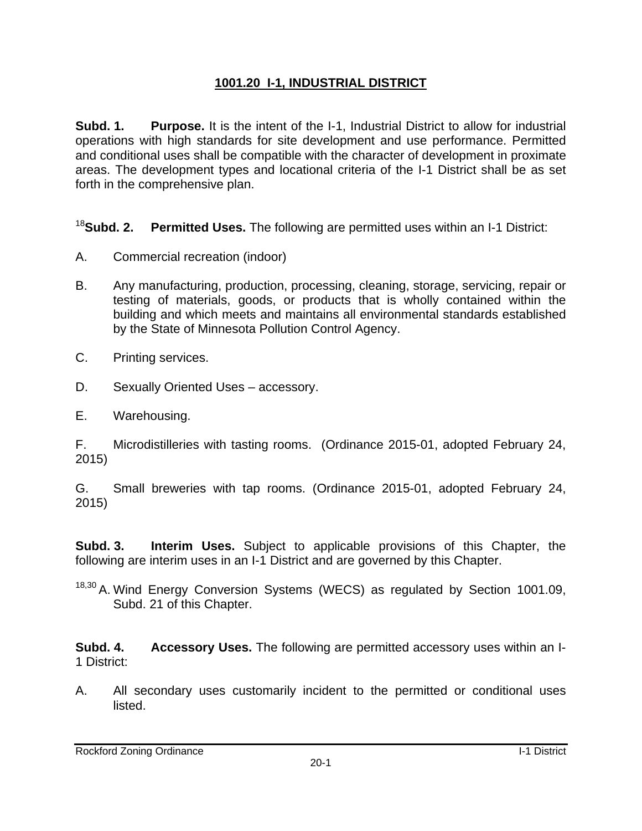## **1001.20 I-1, INDUSTRIAL DISTRICT**

**Subd. 1. Purpose.** It is the intent of the I-1, Industrial District to allow for industrial operations with high standards for site development and use performance. Permitted and conditional uses shall be compatible with the character of development in proximate areas. The development types and locational criteria of the I-1 District shall be as set forth in the comprehensive plan.

<sup>18</sup>**Subd. 2. Permitted Uses.** The following are permitted uses within an I-1 District:

- A. Commercial recreation (indoor)
- B. Any manufacturing, production, processing, cleaning, storage, servicing, repair or testing of materials, goods, or products that is wholly contained within the building and which meets and maintains all environmental standards established by the State of Minnesota Pollution Control Agency.
- C. Printing services.
- D. Sexually Oriented Uses accessory.
- E. Warehousing.

F. Microdistilleries with tasting rooms. (Ordinance 2015-01, adopted February 24, 2015)

G. Small breweries with tap rooms. (Ordinance 2015-01, adopted February 24, 2015)

**Subd. 3. Interim Uses.** Subject to applicable provisions of this Chapter, the following are interim uses in an I-1 District and are governed by this Chapter.

18,30 A. Wind Energy Conversion Systems (WECS) as regulated by Section 1001.09, Subd. 21 of this Chapter.

**Subd. 4. Accessory Uses.** The following are permitted accessory uses within an I-1 District:

A. All secondary uses customarily incident to the permitted or conditional uses listed.

Rockford Zoning Ordinance **I-1** District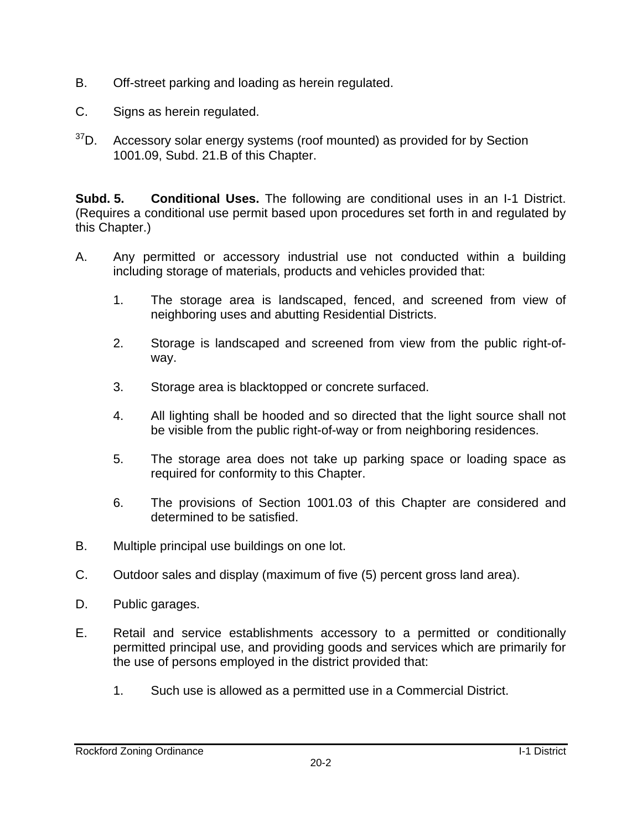- B. Off-street parking and loading as herein regulated.
- C. Signs as herein regulated.
- $37$ D. Accessory solar energy systems (roof mounted) as provided for by Section 1001.09, Subd. 21.B of this Chapter.

**Subd. 5. Conditional Uses.** The following are conditional uses in an I-1 District. (Requires a conditional use permit based upon procedures set forth in and regulated by this Chapter.)

- A. Any permitted or accessory industrial use not conducted within a building including storage of materials, products and vehicles provided that:
	- 1. The storage area is landscaped, fenced, and screened from view of neighboring uses and abutting Residential Districts.
	- 2. Storage is landscaped and screened from view from the public right-ofway.
	- 3. Storage area is blacktopped or concrete surfaced.
	- 4. All lighting shall be hooded and so directed that the light source shall not be visible from the public right-of-way or from neighboring residences.
	- 5. The storage area does not take up parking space or loading space as required for conformity to this Chapter.
	- 6. The provisions of Section 1001.03 of this Chapter are considered and determined to be satisfied.
- B. Multiple principal use buildings on one lot.
- C. Outdoor sales and display (maximum of five (5) percent gross land area).
- D. Public garages.
- E. Retail and service establishments accessory to a permitted or conditionally permitted principal use, and providing goods and services which are primarily for the use of persons employed in the district provided that:
	- 1. Such use is allowed as a permitted use in a Commercial District.

Rockford Zoning Ordinance **I-1** District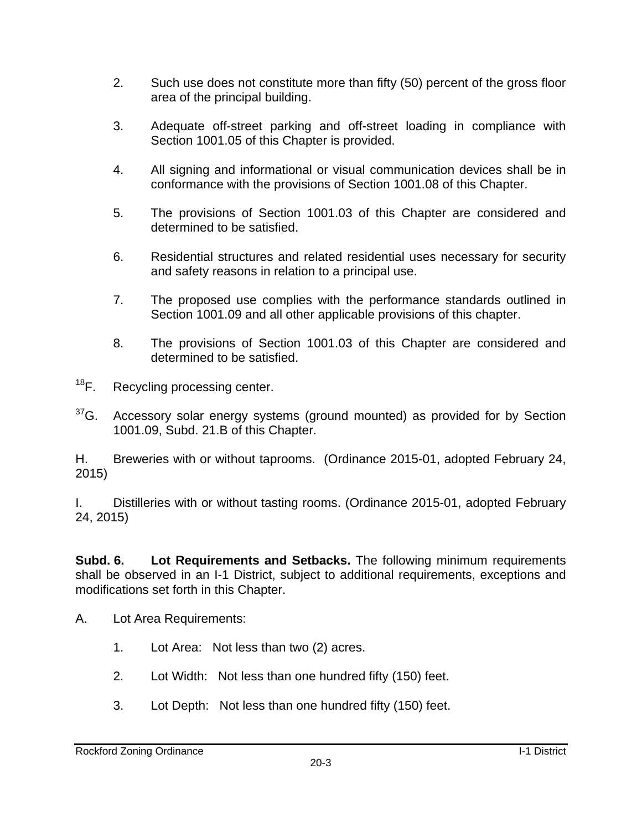- 2. Such use does not constitute more than fifty (50) percent of the gross floor area of the principal building.
- 3. Adequate off-street parking and off-street loading in compliance with Section 1001.05 of this Chapter is provided.
- 4. All signing and informational or visual communication devices shall be in conformance with the provisions of Section 1001.08 of this Chapter.
- 5. The provisions of Section 1001.03 of this Chapter are considered and determined to be satisfied.
- 6. Residential structures and related residential uses necessary for security and safety reasons in relation to a principal use.
- 7. The proposed use complies with the performance standards outlined in Section 1001.09 and all other applicable provisions of this chapter.
- 8. The provisions of Section 1001.03 of this Chapter are considered and determined to be satisfied.
- <sup>18</sup>F. Recycling processing center.
- $37$ G. Accessory solar energy systems (ground mounted) as provided for by Section 1001.09, Subd. 21.B of this Chapter.

H. Breweries with or without taprooms. (Ordinance 2015-01, adopted February 24, 2015)

I. Distilleries with or without tasting rooms. (Ordinance 2015-01, adopted February 24, 2015)

**Subd. 6. Lot Requirements and Setbacks.** The following minimum requirements shall be observed in an I-1 District, subject to additional requirements, exceptions and modifications set forth in this Chapter.

- A. Lot Area Requirements:
	- 1. Lot Area: Not less than two (2) acres.
	- 2. Lot Width: Not less than one hundred fifty (150) feet.
	- 3. Lot Depth: Not less than one hundred fifty (150) feet.